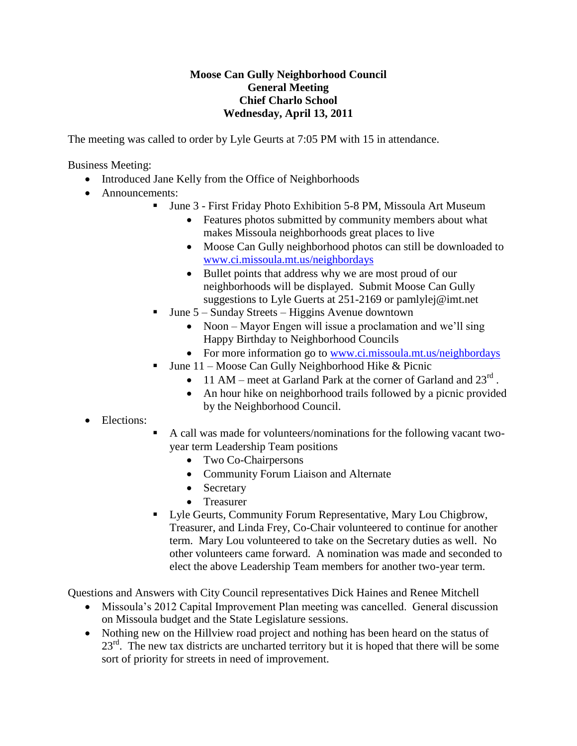## **Moose Can Gully Neighborhood Council General Meeting Chief Charlo School Wednesday, April 13, 2011**

The meeting was called to order by Lyle Geurts at 7:05 PM with 15 in attendance.

Business Meeting:

- Introduced Jane Kelly from the Office of Neighborhoods
- Announcements:
	- June 3 First Friday Photo Exhibition 5-8 PM, Missoula Art Museum
		- Features photos submitted by community members about what makes Missoula neighborhoods great places to live
		- Moose Can Gully neighborhood photos can still be downloaded to [www.ci.missoula.mt.us/neighbordays](http://www.ci.missoula.mt.us/neighbordays)
		- Bullet points that address why we are most proud of our neighborhoods will be displayed. Submit Moose Can Gully suggestions to Lyle Guerts at 251-2169 or pamlylej@imt.net
	- June 5 Sunday Streets Higgins Avenue downtown
		- Noon Mayor Engen will issue a proclamation and we'll sing Happy Birthday to Neighborhood Councils
		- For more information go to [www.ci.missoula.mt.us/neighbordays](http://www.ci.missoula.mt.us/neighbordays)
		- June 11 Moose Can Gully Neighborhood Hike & Picnic
			- 11 AM meet at Garland Park at the corner of Garland and  $23^{\text{rd}}$ .
			- An hour hike on neighborhood trails followed by a picnic provided by the Neighborhood Council.

## Elections:

- A call was made for volunteers/nominations for the following vacant twoyear term Leadership Team positions
	- Two Co-Chairpersons
	- Community Forum Liaison and Alternate
	- Secretary
	- Treasurer
- Lyle Geurts, Community Forum Representative, Mary Lou Chigbrow, Treasurer, and Linda Frey, Co-Chair volunteered to continue for another term. Mary Lou volunteered to take on the Secretary duties as well. No other volunteers came forward. A nomination was made and seconded to elect the above Leadership Team members for another two-year term.

Questions and Answers with City Council representatives Dick Haines and Renee Mitchell

- Missoula's 2012 Capital Improvement Plan meeting was cancelled. General discussion on Missoula budget and the State Legislature sessions.
- Nothing new on the Hillview road project and nothing has been heard on the status of  $23<sup>rd</sup>$ . The new tax districts are uncharted territory but it is hoped that there will be some sort of priority for streets in need of improvement.